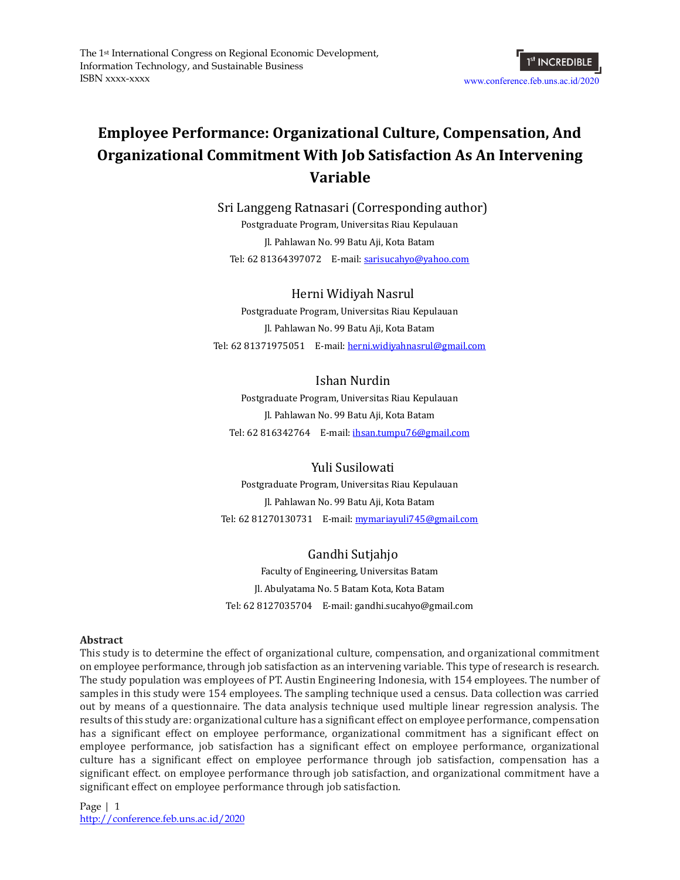

# **Employee Performance: Organizational Culture, Compensation, And Organizational Commitment With Job Satisfaction As An Intervening Variable**

Sri Langgeng Ratnasari (Corresponding author) Postgraduate Program, Universitas Riau Kepulauan Jl. Pahlawan No. 99 Batu Aji, Kota Batam Tel: 62 81364397072 E-mail: [sarisucahyo@yahoo.com](mailto:sarisucahyo@yahoo.com)

# Herni Widiyah Nasrul

Postgraduate Program, Universitas Riau Kepulauan Jl. Pahlawan No. 99 Batu Aji, Kota Batam Tel: 62 81371975051 E-mail: [herni.widiyahnasrul@gmail.com](mailto:herni.widiyahnasrul@gmail.com)

# Ishan Nurdin

Postgraduate Program, Universitas Riau Kepulauan Jl. Pahlawan No. 99 Batu Aji, Kota Batam Tel: 62 816342764 E-mail: [ihsan.tumpu76@gmail.com](mailto:ihsan.tumpu76@gmail.com)

Yuli Susilowati Postgraduate Program, Universitas Riau Kepulauan Jl. Pahlawan No. 99 Batu Aji, Kota Batam Tel: 62 81270130731 E-mail: [mymariayuli745@gmail.com](mailto:mymariayuli745@gmail.com)

Gandhi Sutjahjo Faculty of Engineering, Universitas Batam Jl. Abulyatama No. 5 Batam Kota, Kota Batam Tel: 62 8127035704 E-mail: gandhi.sucahyo@gmail.com

#### **Abstract**

This study is to determine the effect of organizational culture, compensation, and organizational commitment on employee performance, through job satisfaction as an intervening variable. This type of research is research. The study population was employees of PT. Austin Engineering Indonesia, with 154 employees. The number of samples in this study were 154 employees. The sampling technique used a census. Data collection was carried out by means of a questionnaire. The data analysis technique used multiple linear regression analysis. The results of this study are: organizational culture has a significant effect on employee performance, compensation has a significant effect on employee performance, organizational commitment has a significant effect on employee performance, job satisfaction has a significant effect on employee performance, organizational culture has a significant effect on employee performance through job satisfaction, compensation has a significant effect. on employee performance through job satisfaction, and organizational commitment have a significant effect on employee performance through job satisfaction.

Page | 1 <http://conference.feb.uns.ac.id/2020>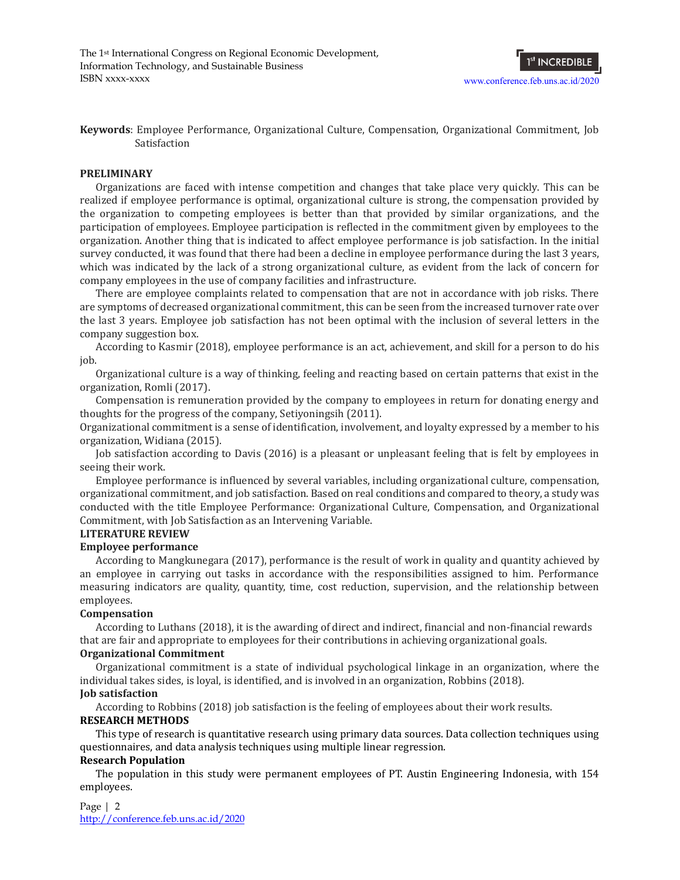

**Keywords**: Employee Performance, Organizational Culture, Compensation, Organizational Commitment, Job Satisfaction

#### **PRELIMINARY**

Organizations are faced with intense competition and changes that take place very quickly. This can be realized if employee performance is optimal, organizational culture is strong, the compensation provided by the organization to competing employees is better than that provided by similar organizations, and the participation of employees. Employee participation is reflected in the commitment given by employees to the organization. Another thing that is indicated to affect employee performance is job satisfaction. In the initial survey conducted, it was found that there had been a decline in employee performance during the last 3 years, which was indicated by the lack of a strong organizational culture, as evident from the lack of concern for company employees in the use of company facilities and infrastructure.

There are employee complaints related to compensation that are not in accordance with job risks. There are symptoms of decreased organizational commitment, this can be seen from the increased turnover rate over the last 3 years. Employee job satisfaction has not been optimal with the inclusion of several letters in the company suggestion box.

According to Kasmir (2018), employee performance is an act, achievement, and skill for a person to do his job.

Organizational culture is a way of thinking, feeling and reacting based on certain patterns that exist in the organization, Romli (2017).

Compensation is remuneration provided by the company to employees in return for donating energy and thoughts for the progress of the company, Setiyoningsih (2011).

Organizational commitment is a sense of identification, involvement, and loyalty expressed by a member to his organization, Widiana (2015).

Job satisfaction according to Davis (2016) is a pleasant or unpleasant feeling that is felt by employees in seeing their work.

Employee performance is influenced by several variables, including organizational culture, compensation, organizational commitment, and job satisfaction. Based on real conditions and compared to theory, a study was conducted with the title Employee Performance: Organizational Culture, Compensation, and Organizational Commitment, with Job Satisfaction as an Intervening Variable.

## **LITERATURE REVIEW**

#### **Employee performance**

According to Mangkunegara (2017), performance is the result of work in quality and quantity achieved by an employee in carrying out tasks in accordance with the responsibilities assigned to him. Performance measuring indicators are quality, quantity, time, cost reduction, supervision, and the relationship between employees.

#### **Compensation**

According to Luthans (2018), it is the awarding of direct and indirect, financial and non-financial rewards that are fair and appropriate to employees for their contributions in achieving organizational goals.

#### **Organizational Commitment**

Organizational commitment is a state of individual psychological linkage in an organization, where the individual takes sides, is loyal, is identified, and is involved in an organization, Robbins (2018).

# **Job satisfaction**

According to Robbins (2018) job satisfaction is the feeling of employees about their work results.

#### **RESEARCH METHODS**

This type of research is quantitative research using primary data sources. Data collection techniques using questionnaires, and data analysis techniques using multiple linear regression.

#### **Research Population**

The population in this study were permanent employees of PT. Austin Engineering Indonesia, with 154 employees.

Page | 2 <http://conference.feb.uns.ac.id/2020>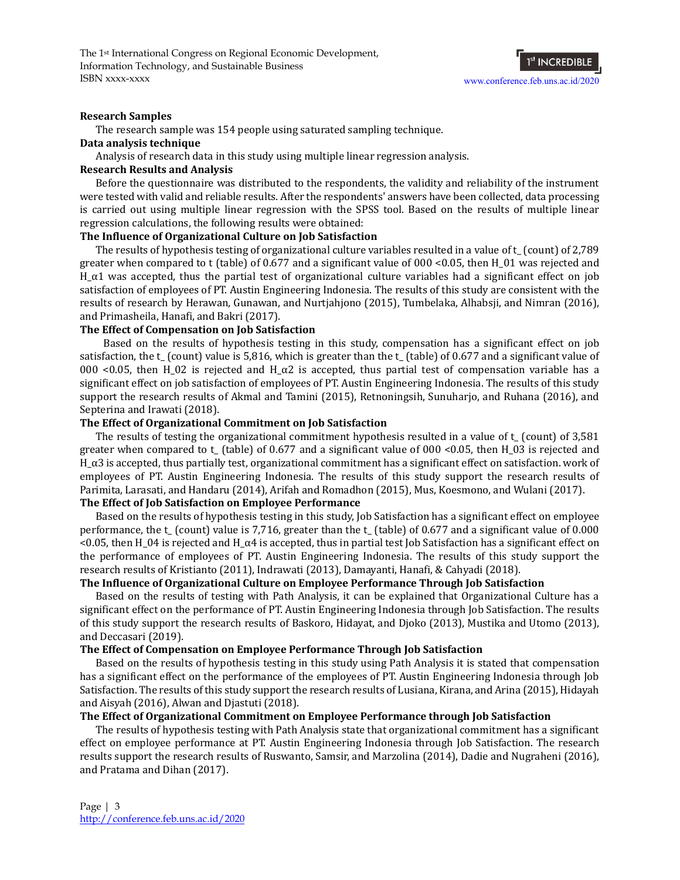The 1st International Congress on Regional Economic Development, Information Technology, and Sustainable Business ISBN xxxx-xxxx

# 1<sup>st</sup> INCREDIBLE [www.conference.feb.uns.ac.id/2](http://www.conference.feb.uns.ac.id/2020)020

#### **Research Samples**

The research sample was 154 people using saturated sampling technique.

#### **Data analysis technique**

Analysis of research data in this study using multiple linear regression analysis.

#### **Research Results and Analysis**

Before the questionnaire was distributed to the respondents, the validity and reliability of the instrument were tested with valid and reliable results. After the respondents' answers have been collected, data processing is carried out using multiple linear regression with the SPSS tool. Based on the results of multiple linear regression calculations, the following results were obtained:

## **The Influence of Organizational Culture on Job Satisfaction**

The results of hypothesis testing of organizational culture variables resulted in a value of t\_ (count) of 2,789 greater when compared to t (table) of 0.677 and a significant value of 000 <0.05, then H\_01 was rejected and  $H_\alpha$ 1 was accepted, thus the partial test of organizational culture variables had a significant effect on job satisfaction of employees of PT. Austin Engineering Indonesia. The results of this study are consistent with the results of research by Herawan, Gunawan, and Nurtjahjono (2015), Tumbelaka, Alhabsji, and Nimran (2016), and Primasheila, Hanafi, and Bakri (2017).

#### **The Effect of Compensation on Job Satisfaction**

Based on the results of hypothesis testing in this study, compensation has a significant effect on job satisfaction, the t\_ (count) value is 5,816, which is greater than the t\_ (table) of 0.677 and a significant value of 000 <0.05, then H\_02 is rejected and H\_ $\alpha$ 2 is accepted, thus partial test of compensation variable has a significant effect on job satisfaction of employees of PT. Austin Engineering Indonesia. The results of this study support the research results of Akmal and Tamini (2015), Retnoningsih, Sunuharjo, and Ruhana (2016), and Septerina and Irawati (2018).

#### **The Effect of Organizational Commitment on Job Satisfaction**

The results of testing the organizational commitment hypothesis resulted in a value of t\_ (count) of 3,581 greater when compared to t\_ (table) of 0.677 and a significant value of 000 <0.05, then H\_03 is rejected and  $H_\alpha$ 3 is accepted, thus partially test, organizational commitment has a significant effect on satisfaction. work of employees of PT. Austin Engineering Indonesia. The results of this study support the research results of Parimita, Larasati, and Handaru (2014), Arifah and Romadhon (2015), Mus, Koesmono, and Wulani (2017).

#### **The Effect of Job Satisfaction on Employee Performance**

Based on the results of hypothesis testing in this study, Job Satisfaction has a significant effect on employee performance, the t\_ (count) value is 7,716, greater than the t\_ (table) of 0.677 and a significant value of 0.000  $<$ 0.05, then H\_04 is rejected and H\_α4 is accepted, thus in partial test Job Satisfaction has a significant effect on the performance of employees of PT. Austin Engineering Indonesia. The results of this study support the research results of Kristianto (2011), Indrawati (2013), Damayanti, Hanafi, & Cahyadi (2018).

#### **The Influence of Organizational Culture on Employee Performance Through Job Satisfaction**

Based on the results of testing with Path Analysis, it can be explained that Organizational Culture has a significant effect on the performance of PT. Austin Engineering Indonesia through Job Satisfaction. The results of this study support the research results of Baskoro, Hidayat, and Djoko (2013), Mustika and Utomo (2013), and Deccasari (2019).

#### **The Effect of Compensation on Employee Performance Through Job Satisfaction**

Based on the results of hypothesis testing in this study using Path Analysis it is stated that compensation has a significant effect on the performance of the employees of PT. Austin Engineering Indonesia through Job Satisfaction. The results of this study support the research results of Lusiana, Kirana, and Arina (2015), Hidayah and Aisyah (2016), Alwan and Djastuti (2018).

## **The Effect of Organizational Commitment on Employee Performance through Job Satisfaction**

The results of hypothesis testing with Path Analysis state that organizational commitment has a significant effect on employee performance at PT. Austin Engineering Indonesia through Job Satisfaction. The research results support the research results of Ruswanto, Samsir, and Marzolina (2014), Dadie and Nugraheni (2016), and Pratama and Dihan (2017).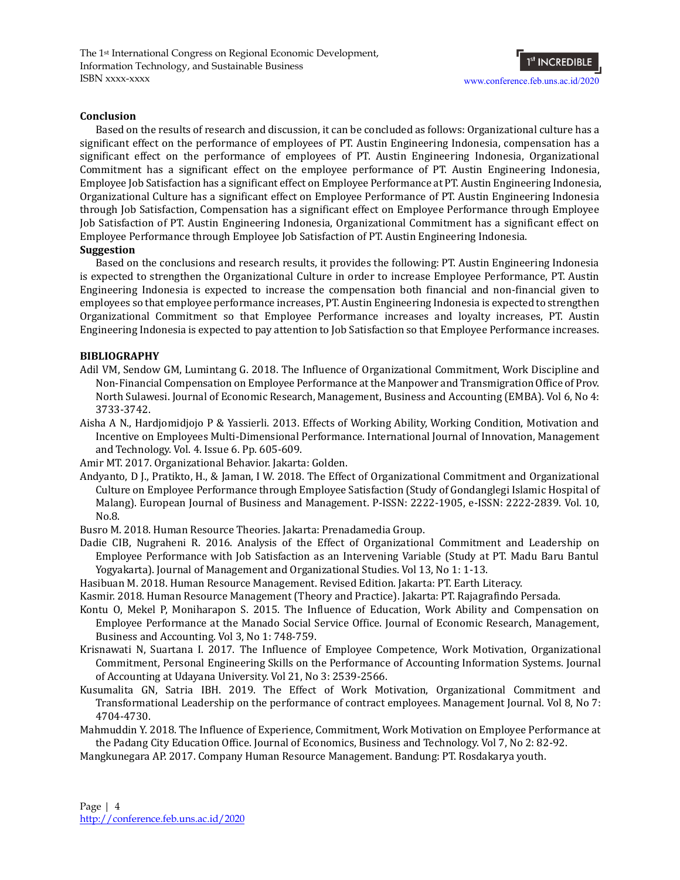The 1st International Congress on Regional Economic Development, Information Technology, and Sustainable Business ISBN xxxx-xxxx



#### **Conclusion**

Based on the results of research and discussion, it can be concluded as follows: Organizational culture has a significant effect on the performance of employees of PT. Austin Engineering Indonesia, compensation has a significant effect on the performance of employees of PT. Austin Engineering Indonesia, Organizational Commitment has a significant effect on the employee performance of PT. Austin Engineering Indonesia, Employee Job Satisfaction has a significant effect on Employee Performance at PT. Austin Engineering Indonesia, Organizational Culture has a significant effect on Employee Performance of PT. Austin Engineering Indonesia through Job Satisfaction, Compensation has a significant effect on Employee Performance through Employee Job Satisfaction of PT. Austin Engineering Indonesia, Organizational Commitment has a significant effect on Employee Performance through Employee Job Satisfaction of PT. Austin Engineering Indonesia. **Suggestion**

Based on the conclusions and research results, it provides the following: PT. Austin Engineering Indonesia is expected to strengthen the Organizational Culture in order to increase Employee Performance, PT. Austin Engineering Indonesia is expected to increase the compensation both financial and non-financial given to employees so that employee performance increases, PT. Austin Engineering Indonesia is expected to strengthen Organizational Commitment so that Employee Performance increases and loyalty increases, PT. Austin Engineering Indonesia is expected to pay attention to Job Satisfaction so that Employee Performance increases.

#### **BIBLIOGRAPHY**

- Adil VM, Sendow GM, Lumintang G. 2018. The Influence of Organizational Commitment, Work Discipline and Non-Financial Compensation on Employee Performance at the Manpower and Transmigration Office of Prov. North Sulawesi. Journal of Economic Research, Management, Business and Accounting (EMBA). Vol 6, No 4: 3733-3742.
- Aisha A N., Hardjomidjojo P & Yassierli. 2013. Effects of Working Ability, Working Condition, Motivation and Incentive on Employees Multi-Dimensional Performance. International Journal of Innovation, Management and Technology. Vol. 4. Issue 6. Pp. 605-609.

Amir MT. 2017. Organizational Behavior. Jakarta: Golden.

- Andyanto, D J., Pratikto, H., & Jaman, I W. 2018. The Effect of Organizational Commitment and Organizational Culture on Employee Performance through Employee Satisfaction (Study of Gondanglegi Islamic Hospital of Malang). European Journal of Business and Management. P-ISSN: 2222-1905, e-ISSN: 2222-2839. Vol. 10, No.8.
- Busro M. 2018. Human Resource Theories. Jakarta: Prenadamedia Group.
- Dadie CIB, Nugraheni R. 2016. Analysis of the Effect of Organizational Commitment and Leadership on Employee Performance with Job Satisfaction as an Intervening Variable (Study at PT. Madu Baru Bantul Yogyakarta). Journal of Management and Organizational Studies. Vol 13, No 1: 1-13.
- Hasibuan M. 2018. Human Resource Management. Revised Edition. Jakarta: PT. Earth Literacy.
- Kasmir. 2018. Human Resource Management (Theory and Practice). Jakarta: PT. Rajagrafindo Persada.
- Kontu O, Mekel P, Moniharapon S. 2015. The Influence of Education, Work Ability and Compensation on Employee Performance at the Manado Social Service Office. Journal of Economic Research, Management, Business and Accounting. Vol 3, No 1: 748-759.
- Krisnawati N, Suartana I. 2017. The Influence of Employee Competence, Work Motivation, Organizational Commitment, Personal Engineering Skills on the Performance of Accounting Information Systems. Journal of Accounting at Udayana University. Vol 21, No 3: 2539-2566.
- Kusumalita GN, Satria IBH. 2019. The Effect of Work Motivation, Organizational Commitment and Transformational Leadership on the performance of contract employees. Management Journal. Vol 8, No 7: 4704-4730.
- Mahmuddin Y. 2018. The Influence of Experience, Commitment, Work Motivation on Employee Performance at the Padang City Education Office. Journal of Economics, Business and Technology. Vol 7, No 2: 82-92.
- Mangkunegara AP. 2017. Company Human Resource Management. Bandung: PT. Rosdakarya youth.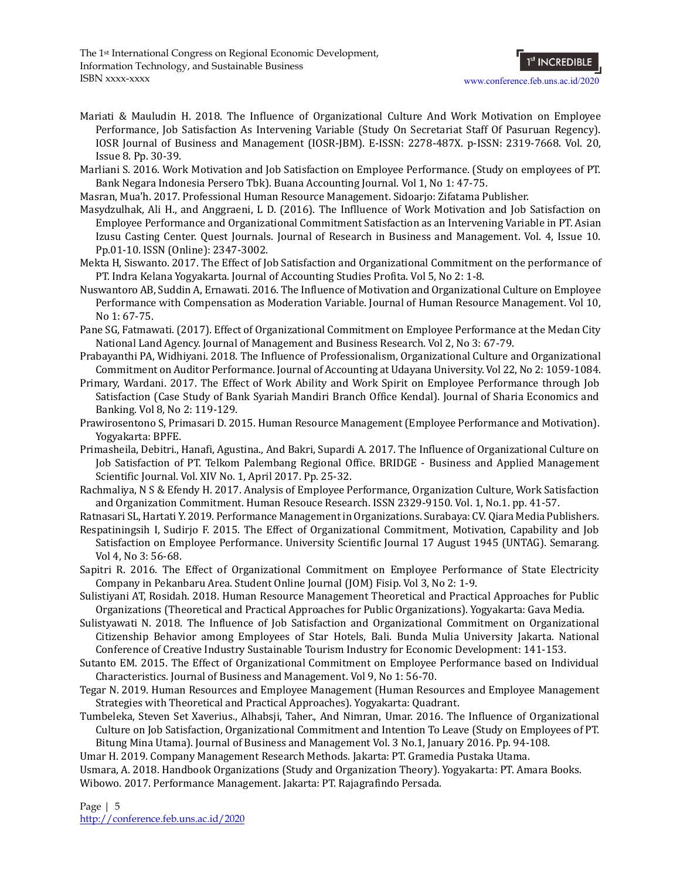The 1st International Congress on Regional Economic Development, Information Technology, and Sustainable Business ISBN xxxx-xxxx

- Mariati & Mauludin H. 2018. The Influence of Organizational Culture And Work Motivation on Employee Performance, Job Satisfaction As Intervening Variable (Study On Secretariat Staff Of Pasuruan Regency). IOSR Journal of Business and Management (IOSR-JBM). E-ISSN: 2278-487X. p-ISSN: 2319-7668. Vol. 20, Issue 8. Pp. 30-39.
- Marliani S. 2016. Work Motivation and Job Satisfaction on Employee Performance. (Study on employees of PT. Bank Negara Indonesia Persero Tbk). Buana Accounting Journal. Vol 1, No 1: 47-75.
- Masran, Mua'h. 2017. Professional Human Resource Management. Sidoarjo: Zifatama Publisher.
- Masydzulhak, Ali H., and Anggraeni, L D. (2016). The Inflluence of Work Motivation and Job Satisfaction on Employee Performance and Organizational Commitment Satisfaction as an Intervening Variable in PT. Asian Izusu Casting Center. Quest Journals. Journal of Research in Business and Management. Vol. 4, Issue 10. Pp.01-10. ISSN (Online): 2347-3002.
- Mekta H, Siswanto. 2017. The Effect of Job Satisfaction and Organizational Commitment on the performance of PT. Indra Kelana Yogyakarta. Journal of Accounting Studies Profita. Vol 5, No 2: 1-8.
- Nuswantoro AB, Suddin A, Ernawati. 2016. The Influence of Motivation and Organizational Culture on Employee Performance with Compensation as Moderation Variable. Journal of Human Resource Management. Vol 10, No 1: 67-75.
- Pane SG, Fatmawati. (2017). Effect of Organizational Commitment on Employee Performance at the Medan City National Land Agency. Journal of Management and Business Research. Vol 2, No 3: 67-79.
- Prabayanthi PA, Widhiyani. 2018. The Influence of Professionalism, Organizational Culture and Organizational Commitment on Auditor Performance. Journal of Accounting at Udayana University. Vol 22, No 2: 1059-1084.
- Primary, Wardani. 2017. The Effect of Work Ability and Work Spirit on Employee Performance through Job Satisfaction (Case Study of Bank Syariah Mandiri Branch Office Kendal). Journal of Sharia Economics and Banking. Vol 8, No 2: 119-129.
- Prawirosentono S, Primasari D. 2015. Human Resource Management (Employee Performance and Motivation). Yogyakarta: BPFE.
- Primasheila, Debitri., Hanafi, Agustina., And Bakri, Supardi A. 2017. The Influence of Organizational Culture on Job Satisfaction of PT. Telkom Palembang Regional Office. BRIDGE - Business and Applied Management Scientific Journal. Vol. XIV No. 1, April 2017. Pp. 25-32.
- Rachmaliya, N S & Efendy H. 2017. Analysis of Employee Performance, Organization Culture, Work Satisfaction and Organization Commitment. Human Resouce Research. ISSN 2329-9150. Vol. 1, No.1. pp. 41-57.
- Ratnasari SL, Hartati Y. 2019. Performance Management in Organizations. Surabaya: CV. Qiara Media Publishers.
- Respatiningsih I, Sudirjo F. 2015. The Effect of Organizational Commitment, Motivation, Capability and Job Satisfaction on Employee Performance. University Scientific Journal 17 August 1945 (UNTAG). Semarang. Vol 4, No 3: 56-68.
- Sapitri R. 2016. The Effect of Organizational Commitment on Employee Performance of State Electricity Company in Pekanbaru Area. Student Online Journal (JOM) Fisip. Vol 3, No 2: 1-9.
- Sulistiyani AT, Rosidah. 2018. Human Resource Management Theoretical and Practical Approaches for Public Organizations (Theoretical and Practical Approaches for Public Organizations). Yogyakarta: Gava Media.
- Sulistyawati N. 2018. The Influence of Job Satisfaction and Organizational Commitment on Organizational Citizenship Behavior among Employees of Star Hotels, Bali. Bunda Mulia University Jakarta. National Conference of Creative Industry Sustainable Tourism Industry for Economic Development: 141-153.
- Sutanto EM. 2015. The Effect of Organizational Commitment on Employee Performance based on Individual Characteristics. Journal of Business and Management. Vol 9, No 1: 56-70.
- Tegar N. 2019. Human Resources and Employee Management (Human Resources and Employee Management Strategies with Theoretical and Practical Approaches). Yogyakarta: Quadrant.
- Tumbeleka, Steven Set Xaverius., Alhabsji, Taher., And Nimran, Umar. 2016. The Influence of Organizational Culture on Job Satisfaction, Organizational Commitment and Intention To Leave (Study on Employees of PT. Bitung Mina Utama). Journal of Business and Management Vol. 3 No.1, January 2016. Pp. 94-108.

Umar H. 2019. Company Management Research Methods. Jakarta: PT. Gramedia Pustaka Utama.

Usmara, A. 2018. Handbook Organizations (Study and Organization Theory). Yogyakarta: PT. Amara Books. Wibowo. 2017. Performance Management. Jakarta: PT. Rajagrafindo Persada.

Page | 5 <http://conference.feb.uns.ac.id/2020>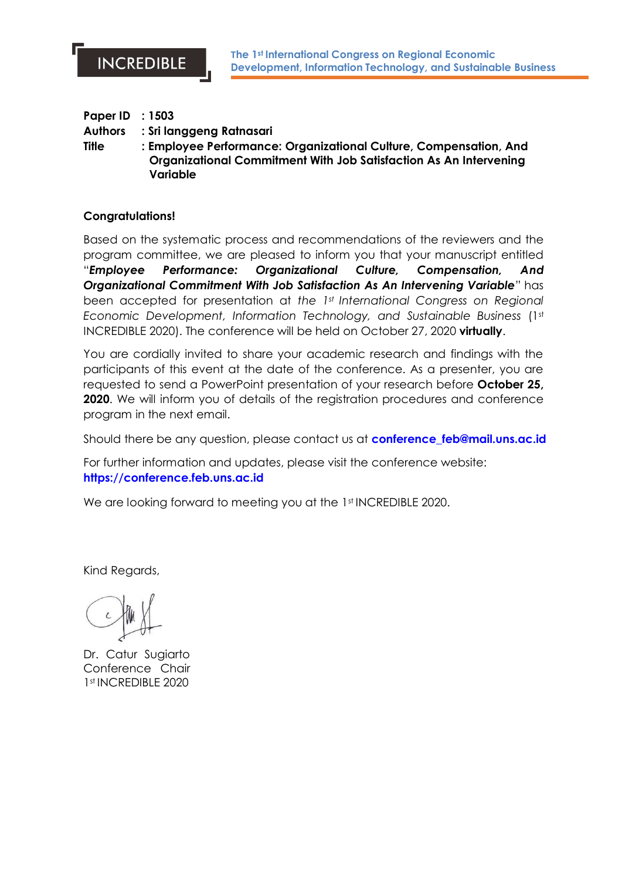| <b>Paper ID : 1503</b> |                                                                                                                                                    |
|------------------------|----------------------------------------------------------------------------------------------------------------------------------------------------|
| <b>Authors</b>         | : Sri langgeng Ratnasari                                                                                                                           |
| <b>Title</b>           | : Employee Performance: Organizational Culture, Compensation, And<br>Organizational Commitment With Job Satisfaction As An Intervening<br>Variable |

## **Congratulations!**

Based on the systematic process and recommendations of the reviewers and the program committee, we are pleased to inform you that your manuscript entitled "*Employee Performance: Organizational Culture, Compensation, And Organizational Commitment With Job Satisfaction As An Intervening Variable*" has been accepted for presentation at *the 1st International Congress on Regional Economic Development, Information Technology, and Sustainable Business* (1st INCREDIBLE 2020). The conference will be held on October 27, 2020 **virtually**.

You are cordially invited to share your academic research and findings with the participants of this event at the date of the conference. As a presenter, you are requested to send a PowerPoint presentation of your research before **October 25, 2020**. We will inform you of details of the registration procedures and conference program in the next email.

Should there be any question, please contact us at **[conference\\_feb@mail.uns.ac.id](mailto:conference_feb@mail.uns.ac.id)**

For further information and updates, please visit the conference website: **[https://conference.feb.uns.ac.id](https://conference.feb.uns.ac.id/)**

We are looking forward to meeting you at the 1st INCREDIBLE 2020.

Kind Regards,

Dr. Catur Sugiarto Conference Chair 1 st INCREDIBLE 2020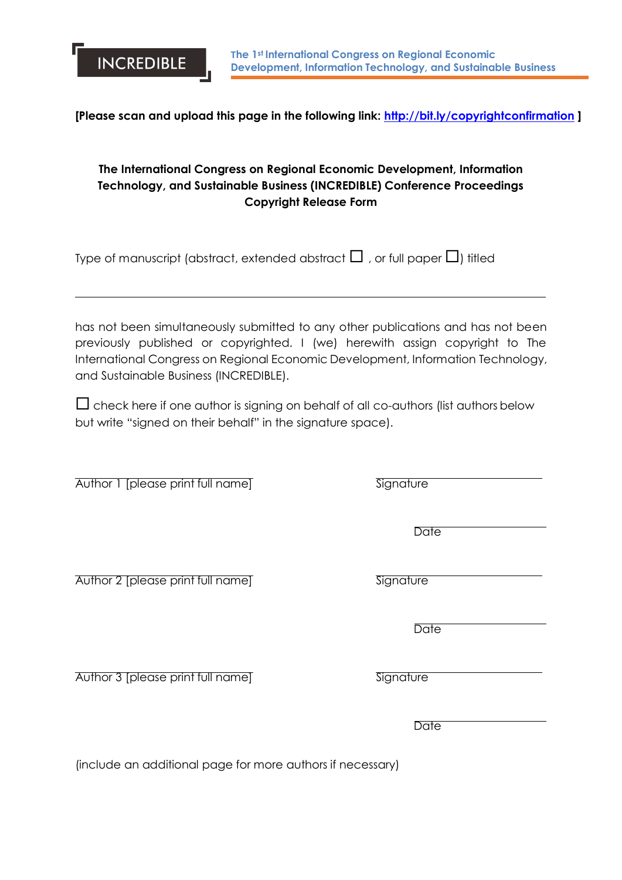**[Please scan and upload this page in the following link:<http://bit.ly/copyrightconfirmation> ]**

# **The International Congress on Regional Economic Development, Information Technology, and Sustainable Business (INCREDIBLE) Conference Proceedings Copyright Release Form**

Type of manuscript (abstract, extended abstract  $\Box$ , or full paper  $\Box$ ) titled

has not been simultaneously submitted to any other publications and has not been previously published or copyrighted. I (we) herewith assign copyright to The International Congress on Regional Economic Development, Information Technology, and Sustainable Business (INCREDIBLE).

 $\Box$  check here if one author is signing on behalf of all co-authors (list authors below but write "signed on their behalf" in the signature space).

Author 1 [please print full name] Signature

**INCREDIBLE** 

Author 2 [please print full name] Signature

Author 3 [please print full name] Signature

(include an additional page for more authors if necessary)

**Date** 

**Date** 

**Date**